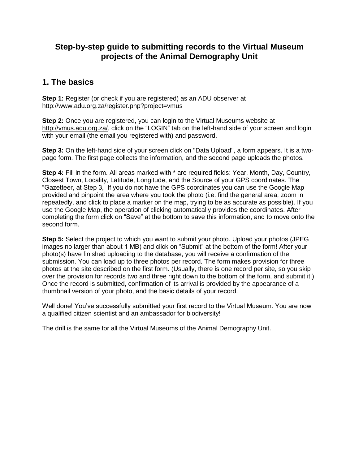# **Step-by-step guide to submitting records to the Virtual Museum projects of the Animal Demography Unit**

# **1. The basics**

**Step 1:** Register (or check if you are registered) as an ADU observer at <http://www.adu.org.za/register.php?project=vmus>

**Step 2:** Once you are registered, you can login to the Virtual Museums website at [http://vmus.adu.org.za/,](http://vmus.adu.org.za/) click on the "LOGIN" tab on the left-hand side of your screen and login with your email (the email you registered with) and password.

**Step 3:** On the left-hand side of your screen click on "Data Upload", a form appears. It is a twopage form. The first page collects the information, and the second page uploads the photos.

**Step 4:** Fill in the form. All areas marked with \* are required fields: Year, Month, Day, Country, Closest Town, Locality, Latitude, Longitude, and the Source of your GPS coordinates. The "Gazetteer, at Step 3, If you do not have the GPS coordinates you can use the Google Map provided and pinpoint the area where you took the photo (i.e. find the general area, zoom in repeatedly, and click to place a marker on the map, trying to be as accurate as possible). If you use the Google Map, the operation of clicking automatically provides the coordinates. After completing the form click on "Save" at the bottom to save this information, and to move onto the second form.

**Step 5:** Select the project to which you want to submit your photo. Upload your photos (JPEG images no larger than about 1 MB) and click on "Submit" at the bottom of the form! After your photo(s) have finished uploading to the database, you will receive a confirmation of the submission. You can load up to three photos per record. The form makes provision for three photos at the site described on the first form. (Usually, there is one record per site, so you skip over the provision for records two and three right down to the bottom of the form, and submit it.) Once the record is submitted, confirmation of its arrival is provided by the appearance of a thumbnail version of your photo, and the basic details of your record.

Well done! You've successfully submitted your first record to the Virtual Museum. You are now a qualified citizen scientist and an ambassador for biodiversity!

The drill is the same for all the Virtual Museums of the Animal Demography Unit.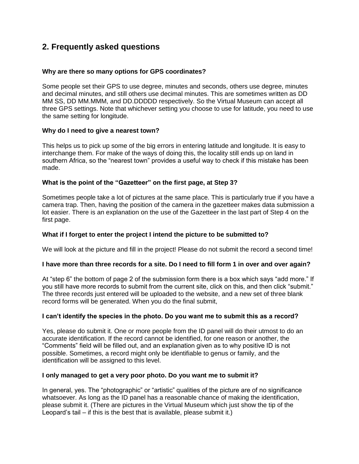# **2. Frequently asked questions**

# **Why are there so many options for GPS coordinates?**

Some people set their GPS to use degree, minutes and seconds, others use degree, minutes and decimal minutes, and still others use decimal minutes. This are sometimes written as DD MM SS, DD MM.MMM, and DD.DDDDD respectively. So the Virtual Museum can accept all three GPS settings. Note that whichever setting you choose to use for latitude, you need to use the same setting for longitude.

## **Why do I need to give a nearest town?**

This helps us to pick up some of the big errors in entering latitude and longitude. It is easy to interchange them. For make of the ways of doing this, the locality still ends up on land in southern Africa, so the "nearest town" provides a useful way to check if this mistake has been made.

## **What is the point of the "Gazetteer" on the first page, at Step 3?**

Sometimes people take a lot of pictures at the same place. This is particularly true if you have a camera trap. Then, having the position of the camera in the gazetteer makes data submission a lot easier. There is an explanation on the use of the Gazetteer in the last part of Step 4 on the first page.

# **What if I forget to enter the project I intend the picture to be submitted to?**

We will look at the picture and fill in the project! Please do not submit the record a second time!

#### **I have more than three records for a site. Do I need to fill form 1 in over and over again?**

At "step 6" the bottom of page 2 of the submission form there is a box which says "add more." If you still have more records to submit from the current site, click on this, and then click "submit." The three records just entered will be uploaded to the website, and a new set of three blank record forms will be generated. When you do the final submit,

#### **I can't identify the species in the photo. Do you want me to submit this as a record?**

Yes, please do submit it. One or more people from the ID panel will do their utmost to do an accurate identification. If the record cannot be identified, for one reason or another, the "Comments" field will be filled out, and an explanation given as to why positive ID is not possible. Sometimes, a record might only be identifiable to genus or family, and the identification will be assigned to this level.

#### **I only managed to get a very poor photo. Do you want me to submit it?**

In general, yes. The "photographic" or "artistic" qualities of the picture are of no significance whatsoever. As long as the ID panel has a reasonable chance of making the identification, please submit it. (There are pictures in the Virtual Museum which just show the tip of the Leopard's tail – if this is the best that is available, please submit it.)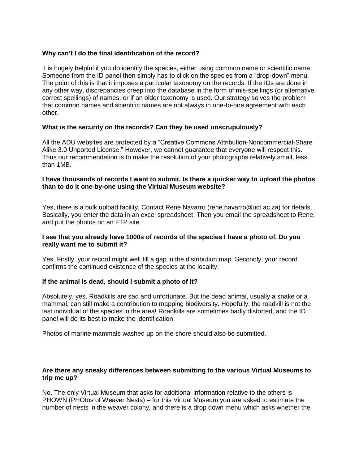# **Why can't I do the final identification of the record?**

It is hugely helpful if you do identify the species, either using common name or scientific name. Someone from the ID panel then simply has to click on the species from a "drop-down" menu. The point of this is that it imposes a particular taxonomy on the records. If the IDs are done in any other way, discrepancies creep into the database in the form of mis-spellings (or alternative correct spellings) of names, or if an older taxonomy is used. Our strategy solves the problem that common names and scientific names are not always in one-to-one agreement with each other.

# **What is the security on the records? Can they be used unscrupulously?**

All the ADU websites are protected by a "Creative Commons Attribution-Noncommercial-Share Alike 3.0 Unported License." However, we cannot guarantee that everyone will respect this. Thus our recommendation is to make the resolution of your photographs relatively small, less than 1MB.

## **I have thousands of records I want to submit. Is there a quicker way to upload the photos than to do it one-by-one using the Virtual Museum website?**

Yes, there is a bulk upload facility. Contact Rene Navarro (rene.navarro@uct.ac.za) for details. Basically, you enter the data in an excel spreadsheet. Then you email the spreadsheet to Rene, and put the photos on an FTP site.

## **I see that you already have 1000s of records of the species I have a photo of. Do you really want me to submit it?**

Yes. Firstly, your record might well fill a gap in the distribution map. Secondly, your record confirms the continued existence of the species at the locality.

#### **If the animal is dead, should I submit a photo of it?**

Absolutely, yes. Roadkills are sad and unfortunate. But the dead animal, usually a snake or a mammal, can still make a contribution to mapping biodiversity. Hopefully, the roadkill is not the last individual of the species in the area! Roadkills are sometimes badly distorted, and the ID panel will do its best to make the identification.

Photos of marine mammals washed up on the shore should also be submitted.

## **Are there any sneaky differences between submitting to the various Virtual Museums to trip me up?**

No. The only Virtual Museum that asks for additional information relative to the others is PHOWN (PHOtos of Weaver Nests) – for this Virtual Museum you are asked to estimate the number of nests in the weaver colony, and there is a drop down menu which asks whether the